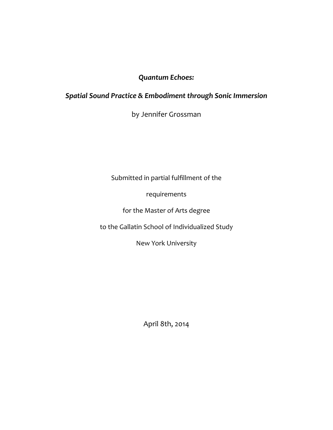# *Quantum Echoes:*

# *Spatial Sound Practice & Embodiment through Sonic Immersion*

by Jennifer Grossman

Submitted in partial fulfillment of the

requirements

for the Master of Arts degree

to the Gallatin School of Individualized Study

New York University

April 8th, 2014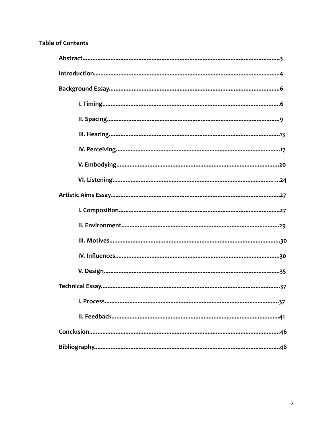# **Table of Contents**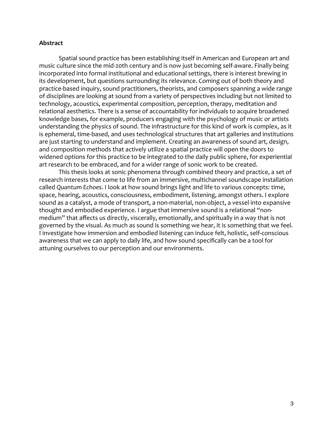# **Abstract**

 Spatial sound practice has been establishing itself in American and European art and music culture since the mid‐20th century and is now just becoming self‐aware. Finally being incorporated into formal institutional and educational settings, there is interest brewing in its development, but questions surrounding its relevance. Coming out of both theory and practice‐based inquiry, sound practitioners, theorists, and composers spanning a wide range of disciplines are looking at sound from a variety of perspectives including but not limited to technology, acoustics, experimental composition, perception, therapy, meditation and relational aesthetics. There is a sense of accountability for individuals to acquire broadened knowledge bases, for example, producers engaging with the psychology of music or artists understanding the physics of sound. The infrastructure for this kind of work is complex, as it is ephemeral, time‐based, and uses technological structures that art galleries and institutions are just starting to understand and implement. Creating an awareness of sound art, design, and composition methods that actively utilize a spatial practice will open the doors to widened options for this practice to be integrated to the daily public sphere, for experiential art research to be embraced, and for a wider range of sonic work to be created.

 This thesis looks at sonic phenomena through combined theory and practice, a set of research interests that come to life from an immersive, multichannel soundscape installation called *Quantum Echoes*. I look at how sound brings light and life to various concepts: time, space, hearing, acoustics, consciousness, embodiment, listening, amongst others. I explore sound as a catalyst, a mode of transport, a non‐material, non‐object, a vessel into expansive thought and embodied experience. I argue that immersive sound is a relational "non‐ medium" that affects us directly, viscerally, emotionally, and spiritually in a way that is not governed by the visual. As much as sound is something we hear, it is something that we feel. I investigate how immersion and embodied listening can induce felt, holistic, self‐conscious awareness that we can apply to daily life, and how sound specifically can be a tool for attuning ourselves to our perception and our environments.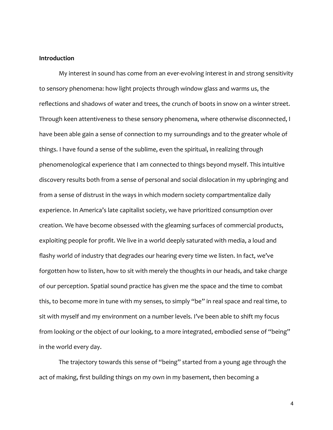# **Introduction**

 My interest in sound has come from an ever‐evolving interest in and strong sensitivity to sensory phenomena: how light projects through window glass and warms us, the reflections and shadows of water and trees, the crunch of boots in snow on a winter street. Through keen attentiveness to these sensory phenomena, where otherwise disconnected, I have been able gain a sense of connection to my surroundings and to the greater whole of things. I have found a sense of the sublime, even the spiritual, in realizing through phenomenological experience that I am connected to things beyond myself. This intuitive discovery results both from a sense of personal and social dislocation in my upbringing and from a sense of distrust in the ways in which modern society compartmentalize daily experience. In America's late capitalist society, we have prioritized consumption over creation. We have become obsessed with the gleaming surfaces of commercial products, exploiting people for profit. We live in a world deeply saturated with media, a loud and flashy world of industry that degrades our hearing every time we listen. In fact, we've forgotten how to listen, how to sit with merely the thoughts in our heads, and take charge of our perception. Spatial sound practice has given me the space and the time to combat this, to become more in tune with my senses, to simply "be" in real space and real time, to sit with myself and my environment on a number levels. I've been able to shift my focus from looking or the object of our looking, to a more integrated, embodied sense of "being" in the world every day.

 The trajectory towards this sense of "being" started from a young age through the act of making, first building things on my own in my basement, then becoming a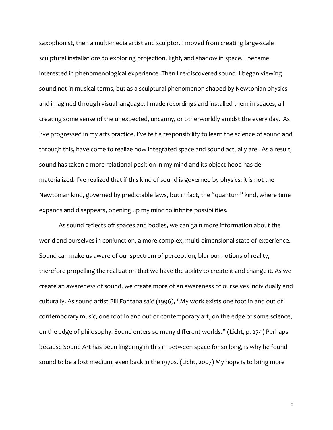saxophonist, then a multi‐media artist and sculptor. I moved from creating large‐scale sculptural installations to exploring projection, light, and shadow in space. I became interested in phenomenological experience. Then I re‐discovered sound. I began viewing sound not in musical terms, but as a sculptural phenomenon shaped by Newtonian physics and imagined through visual language. I made recordings and installed them in spaces, all creating some sense of the unexpected, uncanny, or otherworldly amidst the every day. As I've progressed in my arts practice, I've felt a responsibility to learn the science of sound and through this, have come to realize how integrated space and sound actually are. As a result, sound has taken a more relational position in my mind and its object-hood has dematerialized. I've realized that if this kind of sound is governed by physics, it is not the Newtonian kind, governed by predictable laws, but in fact, the "quantum" kind, where time expands and disappears, opening up my mind to infinite possibilities.

 As sound reflects off spaces and bodies, we can gain more information about the world and ourselves in conjunction, a more complex, multi-dimensional state of experience. Sound can make us aware of our spectrum of perception, blur our notions of reality, therefore propelling the realization that we have the ability to create it and change it. As we create an awareness of sound, we create more of an awareness of ourselves individually and culturally. As sound artist Bill Fontana said (1996), "My work exists one foot in and out of contemporary music, one foot in and out of contemporary art, on the edge of some science, on the edge of philosophy. Sound enters so many different worlds." (Licht, p. 274) Perhaps because Sound Art has been lingering in this in between space for so long, is why he found sound to be a lost medium, even back in the 1970s. (Licht, 2007) My hope is to bring more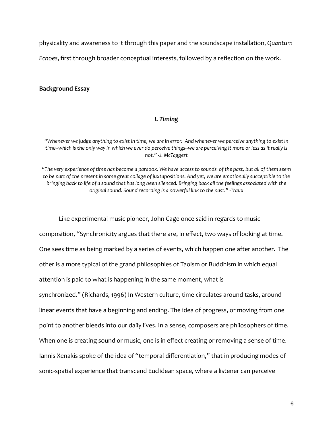physicality and awareness to it through this paper and the soundscape installation, *Quantum* 

*Echoes*, first through broader conceptual interests, followed by a reflection on the work.

# **Background Essay**

# *I. Timing*

*"Whenever we judge anything to exist in time, we are in error. And whenever we perceive anything to exist in time‐‐which is the only way in which we ever do perceive things‐‐we are perceiving it more or less as it really is not." ‐J. McTaggert*

*"The very experience of time has become a paradox. We have access to sounds of the past, but all of them seem*  to be part of the present in some great collage of juxtapositions. And yet, we are emotionally succeptible to the *bringing back to life of a sound that has long been silenced. Bringing back all the feelings associated with the original sound. Sound recording is a powerful link to the past." ‐Traux*

 Like experimental music pioneer, John Cage once said in regards to music composition, "Synchronicity argues that there are, in effect, two ways of looking at time. One sees time as being marked by a series of events, which happen one after another. The other is a more typical of the grand philosophies of Taoism or Buddhism in which equal attention is paid to what is happening in the same moment, what is synchronized." (Richards, 1996) In Western culture, time circulates around tasks, around linear events that have a beginning and ending. The idea of progress, or moving from one point to another bleeds into our daily lives. In a sense, composers are philosophers of time. When one is creating sound or music, one is in effect creating or removing a sense of time. Iannis Xenakis spoke of the idea of "temporal differentiation," that in producing modes of sonic‐spatial experience that transcend Euclidean space, where a listener can perceive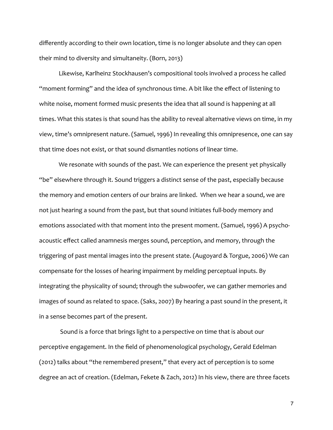differently according to their own location, time is no longer absolute and they can open their mind to diversity and simultaneity. (Born, 2013)

 Likewise, Karlheinz Stockhausen's compositional tools involved a process he called "moment forming" and the idea of synchronous time. A bit like the effect of listening to white noise, moment formed music presents the idea that all sound is happening at all times. What this states is that sound has the ability to reveal alternative views on time, in my view, time's omnipresent nature. (Samuel, 1996) In revealing this omnipresence, one can say that time does not exist, or that sound dismantles notions of linear time.

 We resonate with sounds of the past. We can experience the present yet physically "be" elsewhere through it. Sound triggers a distinct sense of the past, especially because the memory and emotion centers of our brains are linked. When we hear a sound, we are not just hearing a sound from the past, but that sound initiates full‐body memory and emotions associated with that moment into the present moment. (Samuel, 1996) A psycho‐ acoustic effect called anamnesis merges sound, perception, and memory, through the triggering of past mental images into the present state. (Augoyard & Torgue, 2006) We can compensate for the losses of hearing impairment by melding perceptual inputs. By integrating the physicality of sound; through the subwoofer, we can gather memories and images of sound as related to space. (Saks, 2007) By hearing a past sound in the present, it in a sense becomes part of the present.

 Sound is a force that brings light to a perspective on time that is about our perceptive engagement. In the field of phenomenological psychology, Gerald Edelman (2012) talks about "the remembered present," that every act of perception is to some degree an act of creation. (Edelman, Fekete & Zach, 2012) In his view, there are three facets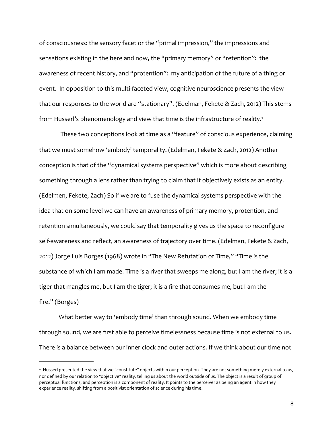of consciousness: the sensory facet or the "primal impression," the impressions and sensations existing in the here and now, the "primary memory" or "retention": the awareness of recent history, and "protention": my anticipation of the future of a thing or event. In opposition to this multi-faceted view, cognitive neuroscience presents the view that our responses to the world are "stationary". (Edelman, Fekete & Zach, 2012) This stems from Husserl's phenomenology and view that time is the infrastructure of reality.<sup>[1](#page-7-0)</sup>

These two conceptions look at time as a "feature" of conscious experience, claiming that we must somehow 'embody' temporality. (Edelman, Fekete & Zach, 2012) Another conception is that of the "dynamical systems perspective" which is more about describing something through a lens rather than trying to claim that it objectively exists as an entity. (Edelmen, Fekete, Zach) So if we are to fuse the dynamical systems perspective with the idea that on some level we can have an awareness of primary memory, protention, and retention simultaneously, we could say that temporality gives us the space to reconfigure self‐awareness and reflect, an awareness of trajectory over time. (Edelman, Fekete & Zach, 2012) Jorge Luis Borges (1968) wrote in "The New Refutation of Time," "Time is the substance of which I am made. Time is a river that sweeps me along, but I am the river; it is a tiger that mangles me, but I am the tiger; it is a fire that consumes me, but I am the fire." (Borges)

 What better way to 'embody time' than through sound. When we embody time through sound, we are first able to perceive timelessness because time is not external to us. There is a balance between our inner clock and outer actions. If we think about our time not

<span id="page-7-0"></span><sup>&</sup>lt;sup>1</sup> Husserl presented the view that we "constitute" objects within our perception. They are not something merely external to us, nor defined by our relation to "objective" reality, telling us about the world outside of us. The object is a result of group of perceptual functions, and perception is a component of reality. It points to the perceiver as being an agent in how they experience reality, shifting from a positivist orientation of science during his time.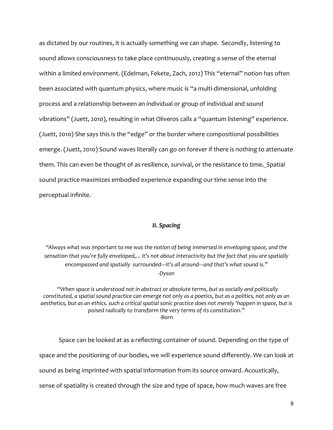as dictated by our routines, it is actually something we can shape. Secondly, listening to sound allows consciousness to take place continuously, creating a sense of the eternal within a limited environment. (Edelman, Fekete, Zach, 2012) This "eternal" notion has often been associated with quantum physics, where music is "a multi-dimensional, unfolding process and a relationship between an individual or group of individual and sound vibrations" (Juett, 2010), resulting in what Oliveros calls a "quantum listening" experience. (Juett, 2010) She says this is the "edge" or the border where compositional possibilities emerge. (Juett, 2010) Sound waves literally can go on forever if there is nothing to attenuate them. This can even be thought of as resilience, survival, or the resistance to time**.** Spatial sound practice maximizes embodied experience expanding our time sense into the perceptual infinite.

# *II. Spacing*

*"Always what was important to me was the notion of being immersed in enveloping space, and the sensation that you're fully enveloped,... it's not about interactivity but the fact that you are spatially encompassed and spatially surrounded‐‐‐it's all around‐‐‐and that's what sound is." ‐Dyson*

 *"When space is understood not in abstract or absolute terms, but as socially and politically constituted, a spatial sound practice can emerge not only as a poetics, but as a politics, not only as an aesthetics, but as an ethics. such a critical spatial sonic practice does not merely 'happen in space, but is poised radically to transform the very terms of its constitution." ‐Born*

 Space can be looked at as a reflecting container of sound. Depending on the type of space and the positioning of our bodies, we will experience sound differently. We can look at sound as being imprinted with spatial information from its source onward. Acoustically, sense of spatiality is created through the size and type of space, how much waves are free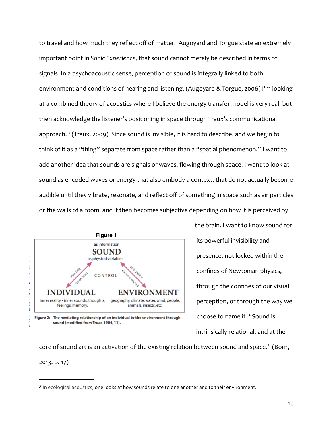to travel and how much they reflect off of matter. Augoyard and Torgue state an extremely important point in *Sonic Experience*, that sound cannot merely be described in terms of signals. In a psychoacoustic sense, perception of sound is integrally linked to both environment and conditions of hearing and listening. (Augoyard & Torgue, 2006) I'm looking at a combined theory of acoustics where I believe the energy transfer model is very real, but then acknowledge the listener's positioning in space through Traux's communicational approach.<sup>[2](#page-9-0)</sup> (Traux, 2009) Since sound is invisible, it is hard to describe, and we begin to think of it as a "thing" separate from space rather than a "spatial phenomenon." I want to add another idea that sounds are signals or waves, flowing through space. I want to look at sound as encoded waves or energy that also embody a context, that do not actually become audible until they vibrate, resonate, and reflect off of something in space such as air particles or the walls of a room, and it then becomes subjective depending on how it is perceived by



Figure 2: The mediating relationship of an individual to the environment through sound (modified from Truax 1984, 11).

the brain. I want to know sound for its powerful invisibility and presence, not locked within the confines of Newtonian physics, through the confines of our visual perception, or through the way we choose to name it. "Sound is intrinsically relational, and at the

core of sound art is an activation of the existing relation between sound and space." (Born, 2013, p. 17)

<span id="page-9-0"></span><sup>2</sup> In ecological acoustics, one looks at how sounds relate to one another and to their environment.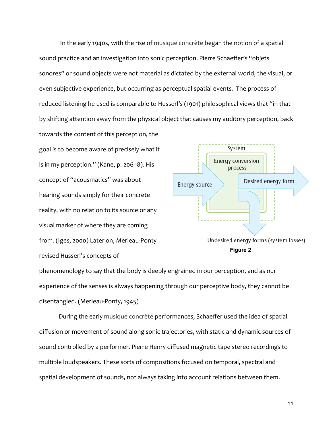In the early 1940s, with the rise of musique concrète began the notion of a spatial sound practice and an investigation into sonic perception. Pierre Schaeffer's "objets sonores" or sound objects were not material as dictated by the external world, the visual, or even subjective experience, but occurring as perceptual spatial events. The process of reduced listening he used is comparable to Husserl's (1901) philosophical views that "in that by shifting attention away from the physical object that causes my auditory perception, back

towards the content of this perception, the goal is to become aware of precisely what it is in my perception." (Kane, p. 206–8). His concept of "acousmatics" was about hearing sounds simply for their concrete reality, with no relation to its source or any visual marker of where they are coming from. (Iges, 2000) Later on, Merleau‐Ponty revised Husserl's concepts of



phenomenology to say that the body is deeply engrained in our perception, and as our experience of the senses is always happening through our perceptive body, they cannot be disentangled. (Merleau‐Ponty, 1945)

 During the early musique concrète performances, Schaeffer used the idea of spatial diffusion or movement of sound along sonic trajectories, with static and dynamic sources of sound controlled by a performer. Pierre Henry diffused magnetic tape stereo recordings to multiple loudspeakers. These sorts of compositions focused on temporal, spectral and spatial development of sounds, not always taking into account relations between them.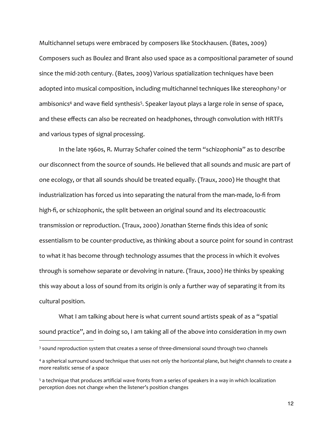Multichannel setups were embraced by composers like Stockhausen. (Bates, 2009) Composers such as Boulez and Brant also used space as a compositional parameter of sound since the mid-20th century. (Bates, 2009) Various spatialization techniques have been adopted into musical composition, including multichannel techniques like stereophony<sup>[3](#page-11-0)</sup> or ambisonics<sup>4</sup> and wave field synthesis<sup>[5](#page-11-2)</sup>. Speaker layout plays a large role in sense of space, and these effects can also be recreated on headphones, through convolution with HRTFs and various types of signal processing.

 In the late 1960s, R. Murray Schafer coined the term "schizophonia" as to describe our disconnect from the source of sounds. He believed that all sounds and music are part of one ecology, or that all sounds should be treated equally. (Traux, 2000) He thought that industrialization has forced us into separating the natural from the man-made, lo-fi from high-fi, or schizophonic, the split between an original sound and its electroacoustic transmission or reproduction. (Traux, 2000) Jonathan Sterne finds this idea of sonic essentialism to be counter‐productive, as thinking about a source point for sound in contrast to what it has become through technology assumes that the process in which it evolves through is somehow separate or devolving in nature. (Traux, 2000) He thinks by speaking this way about a loss of sound from its origin is only a further way of separating it from its cultural position.

What I am talking about here is what current sound artists speak of as a "spatial sound practice", and in doing so, I am taking all of the above into consideration in my own

<span id="page-11-0"></span><sup>&</sup>lt;sup>3</sup> sound reproduction system that creates a sense of three-dimensional sound through two channels

<span id="page-11-1"></span><sup>4</sup> a spherical surround sound technique that uses not only the horizontal plane, but height channels to create a more realistic sense of a space

<span id="page-11-2"></span><sup>5</sup> a technique that produces artificial wave fronts from a series of speakers in a way in which localization perception does not change when the listener's position changes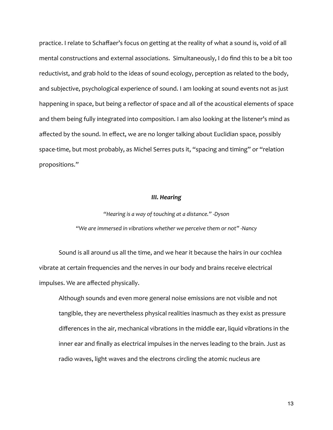practice. I relate to Schaffaer's focus on getting at the reality of what a sound is, void of all mental constructions and external associations. Simultaneously, I do find this to be a bit too reductivist, and grab hold to the ideas of sound ecology, perception as related to the body, and subjective, psychological experience of sound. I am looking at sound events not as just happening in space, but being a reflector of space and all of the acoustical elements of space and them being fully integrated into composition. I am also looking at the listener's mind as affected by the sound. In effect, we are no longer talking about Euclidian space, possibly space-time, but most probably, as Michel Serres puts it, "spacing and timing" or "relation propositions."

### *III. Hearing*

# *"Hearing is a way of touching at a distance." ‐Dyson "We are immersed in vibrations whether we perceive them or not" ‐Nancy*

 Sound is all around us all the time, and we hear it because the hairs in our cochlea vibrate at certain frequencies and the nerves in our body and brains receive electrical impulses. We are affected physically.

 Although sounds and even more general noise emissions are not visible and not tangible, they are nevertheless physical realities inasmuch as they exist as pressure differences in the air, mechanical vibrations in the middle ear, liquid vibrations in the inner ear and finally as electrical impulses in the nerves leading to the brain. Just as radio waves, light waves and the electrons circling the atomic nucleus are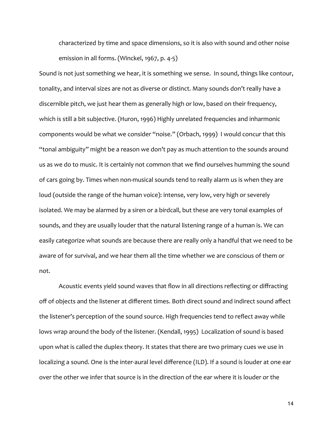characterized by time and space dimensions, so it is also with sound and other noise emission in all forms. (Winckel, 1967, p. 4‐5)

Sound is not just something we hear, it is something we sense. In sound, things like contour, tonality, and interval sizes are not as diverse or distinct. Many sounds don't really have a discernible pitch, we just hear them as generally high or low, based on their frequency, which is still a bit subjective. (Huron, 1996) Highly unrelated frequencies and inharmonic components would be what we consider "noise." (Orbach, 1999) I would concur that this "tonal ambiguity" might be a reason we don't pay as much attention to the sounds around us as we do to music. It is certainly not common that we find ourselves humming the sound of cars going by. Times when non‐musical sounds tend to really alarm us is when they are loud (outside the range of the human voice): intense, very low, very high or severely isolated. We may be alarmed by a siren or a birdcall, but these are very tonal examples of sounds, and they are usually louder that the natural listening range of a human is. We can easily categorize what sounds are because there are really only a handful that we need to be aware of for survival, and we hear them all the time whether we are conscious of them or not.

 Acoustic events yield sound waves that flow in all directions reflecting or diffracting off of objects and the listener at different times. Both direct sound and indirect sound affect the listener's perception of the sound source. High frequencies tend to reflect away while lows wrap around the body of the listener. (Kendall, 1995) Localization of sound is based upon what is called the duplex theory. It states that there are two primary cues we use in localizing a sound. One is the inter-aural level difference (ILD). If a sound is louder at one ear over the other we infer that source is in the direction of the ear where it is louder or the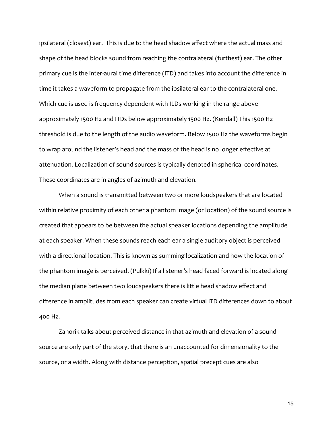ipsilateral (closest) ear. This is due to the head shadow affect where the actual mass and shape of the head blocks sound from reaching the contralateral (furthest) ear. The other primary cue is the inter-aural time difference (ITD) and takes into account the difference in time it takes a waveform to propagate from the ipsilateral ear to the contralateral one. Which cue is used is frequency dependent with ILDs working in the range above approximately 1500 Hz and ITDs below approximately 1500 Hz. (Kendall) This 1500 Hz threshold is due to the length of the audio waveform. Below 1500 Hz the waveforms begin to wrap around the listener's head and the mass of the head is no longer effective at attenuation. Localization of sound sources is typically denoted in spherical coordinates. These coordinates are in angles of azimuth and elevation.

 When a sound is transmitted between two or more loudspeakers that are located within relative proximity of each other a phantom image (or location) of the sound source is created that appears to be between the actual speaker locations depending the amplitude at each speaker. When these sounds reach each ear a single auditory object is perceived with a directional location. This is known as summing localization and how the location of the phantom image is perceived. (Pulkki) If a listener's head faced forward is located along the median plane between two loudspeakers there is little head shadow effect and difference in amplitudes from each speaker can create virtual ITD differences down to about 400 Hz.

 Zahorik talks about perceived distance in that azimuth and elevation of a sound source are only part of the story, that there is an unaccounted for dimensionality to the source, or a width. Along with distance perception, spatial precept cues are also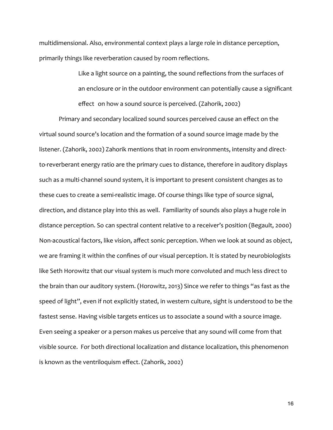multidimensional. Also, environmental context plays a large role in distance perception, primarily things like reverberation caused by room reflections.

> Like a light source on a painting, the sound reflections from the surfaces of an enclosure or in the outdoor environment can potentially cause a significant effect on how a sound source is perceived. (Zahorik, 2002)

 Primary and secondary localized sound sources perceived cause an effect on the virtual sound source's location and the formation of a sound source image made by the listener. (Zahorik, 2002) Zahorik mentions that in room environments, intensity and direct‐ to-reverberant energy ratio are the primary cues to distance, therefore in auditory displays such as a multi‐channel sound system, it is important to present consistent changes as to these cues to create a semi‐realistic image. Of course things like type of source signal, direction, and distance play into this as well. Familiarity of sounds also plays a huge role in distance perception. So can spectral content relative to a receiver's position (Begault, 2000) Non-acoustical factors, like vision, affect sonic perception. When we look at sound as object, we are framing it within the confines of our visual perception. It is stated by neurobiologists like Seth Horowitz that our visual system is much more convoluted and much less direct to the brain than our auditory system. (Horowitz, 2013) Since we refer to things "as fast as the speed of light", even if not explicitly stated, in western culture, sight is understood to be the fastest sense. Having visible targets entices us to associate a sound with a source image. Even seeing a speaker or a person makes us perceive that any sound will come from that visible source. For both directional localization and distance localization, this phenomenon is known as the ventriloquism effect. (Zahorik, 2002)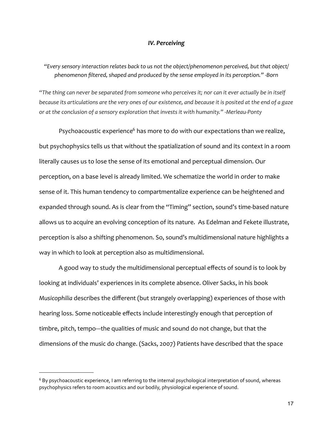#### *IV. Perceiving*

# *"Every sensory interaction relates back to us not the object/phenomenon perceived, but that object/ phenomenon filtered, shaped and produced by the sense employed in its perception." ‐Born*

*"The thing can never be separated from someone who perceives it; nor can it ever actually be in itself because its articulations are the very ones of our existence, and because it is posited at the end of a gaze or at the conclusion of a sensory exploration that invests it with humanity." ‐Merleau‐Ponty*

Psychoacoustic experience<sup>6</sup> has more to do with our expectations than we realize, but psychophysics tells us that without the spatialization of sound and its context in a room literally causes us to lose the sense of its emotional and perceptual dimension. Our perception, on a base level is already limited. We schematize the world in order to make sense of it. This human tendency to compartmentalize experience can be heightened and expanded through sound. As is clear from the "Timing" section, sound's time-based nature allows us to acquire an evolving conception of its nature. As Edelman and Fekete illustrate, perception is also a shifting phenomenon. So, sound's multidimensional nature highlights a way in which to look at perception also as multidimensional.

 A good way to study the multidimensional perceptual effects of sound is to look by looking at individuals' experiences in its complete absence. Oliver Sacks, in his book *Musicophilia* describes the different (but strangely overlapping) experiences of those with hearing loss. Some noticeable effects include interestingly enough that perception of timbre, pitch, tempo‐‐‐the qualities of music and sound do not change, but that the dimensions of the music do change. (Sacks, 2007) Patients have described that the space

<span id="page-16-0"></span><sup>6</sup> By psychoacoustic experience, I am referring to the internal psychological interpretation of sound, whereas psychophysics refers to room acoustics and our bodily, physiological experience of sound.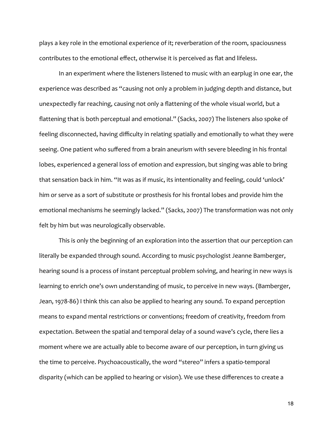plays a key role in the emotional experience of it; reverberation of the room, spaciousness contributes to the emotional effect, otherwise it is perceived as flat and lifeless.

 In an experiment where the listeners listened to music with an earplug in one ear, the experience was described as "causing not only a problem in judging depth and distance, but unexpectedly far reaching, causing not only a flattening of the whole visual world, but a flattening that is both perceptual and emotional." (Sacks, 2007) The listeners also spoke of feeling disconnected, having difficulty in relating spatially and emotionally to what they were seeing. One patient who suffered from a brain aneurism with severe bleeding in his frontal lobes, experienced a general loss of emotion and expression, but singing was able to bring that sensation back in him. "It was as if music, its intentionality and feeling, could 'unlock' him or serve as a sort of substitute or prosthesis for his frontal lobes and provide him the emotional mechanisms he seemingly lacked." (Sacks, 2007) The transformation was not only felt by him but was neurologically observable.

 This is only the beginning of an exploration into the assertion that our perception can literally be expanded through sound. According to music psychologist Jeanne Bamberger, hearing sound is a process of instant perceptual problem solving, and hearing in new ways is learning to enrich one's own understanding of music, to perceive in new ways. (Bamberger, Jean, 1978-86) I think this can also be applied to hearing any sound. To expand perception means to expand mental restrictions or conventions; freedom of creativity, freedom from expectation. Between the spatial and temporal delay of a sound wave's cycle, there lies a moment where we are actually able to become aware of our perception, in turn giving us the time to perceive. Psychoacoustically, the word "stereo" infers a spatio‐temporal disparity (which can be applied to hearing or vision). We use these differences to create a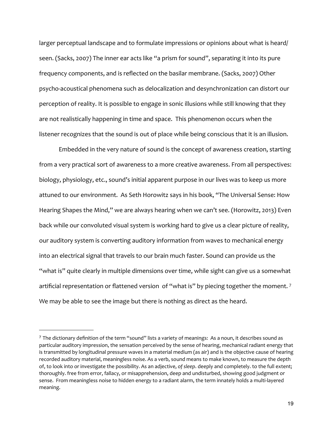larger perceptual landscape and to formulate impressions or opinions about what is heard/ seen. (Sacks, 2007) The inner ear acts like "a prism for sound", separating it into its pure frequency components, and is reflected on the basilar membrane. (Sacks, 2007) Other psycho‐acoustical phenomena such as delocalization and desynchronization can distort our perception of reality. It is possible to engage in sonic illusions while still knowing that they are not realistically happening in time and space. This phenomenon occurs when the listener recognizes that the sound is out of place while being conscious that it is an illusion.

 Embedded in the very nature of sound is the concept of awareness creation, starting from a very practical sort of awareness to a more creative awareness. From all perspectives: biology, physiology, etc., sound's initial apparent purpose in our lives was to keep us more attuned to our environment. As Seth Horowitz says in his book, "The Universal Sense: How Hearing Shapes the Mind," we are always hearing when we can't see. (Horowitz, 2013) Even back while our convoluted visual system is working hard to give us a clear picture of reality, our auditory system is converting auditory information from waves to mechanical energy into an electrical signal that travels to our brain much faster. Sound can provide us the "what is" quite clearly in multiple dimensions over time, while sight can give us a somewhat artificial representation or flattened version of "what is" by piecing together the moment.<sup>7</sup> We may be able to see the image but there is nothing as direct as the heard.

<span id="page-18-0"></span><sup>7</sup> The dictionary definition of the term "sound" lists a variety of meanings: As a noun, it describes sound as particular auditory impression, the sensation perceived by the sense of hearing, mechanical radiant energy that is transmitted by longitudinal pressure waves in a material medium (as air) and is the objective cause of hearing recorded auditory material, meaningless noise. As a verb, sound means to make known, to measure the depth of, to look into or investigate the possibility. As an adjective, *of sleep*. deeply and completely. to the full extent; thoroughly. free from error, fallacy, or misapprehension, deep and undisturbed, showing good judgment or sense. From meaningless noise to hidden energy to a radiant alarm, the term innately holds a multi-layered meaning.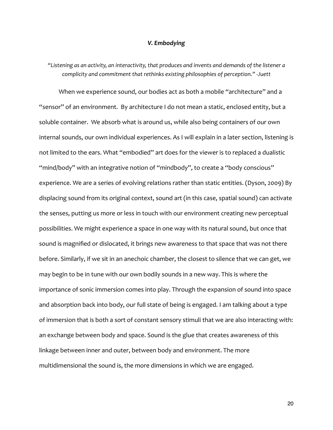### *V. Embodying*

*"Listening as an activity, an interactivity, that produces and invents and demands of the listener a complicity and commitment that rethinks existing philosophies of perception." ‐Juett*

 When we experience sound, our bodies act as both a mobile "architecture" and a "sensor" of an environment. By architecture I do not mean a static, enclosed entity, but a soluble container. We absorb what is around us, while also being containers of our own internal sounds, our own individual experiences. As I will explain in a later section, listening is not limited to the ears. What "embodied" art does for the viewer is to replaced a dualistic "mind/body" with an integrative notion of "mindbody", to create a "body conscious" experience. We are a series of evolving relations rather than static entities. (Dyson, 2009) By displacing sound from its original context, sound art (in this case, spatial sound) can activate the senses, putting us more or less in touch with our environment creating new perceptual possibilities. We might experience a space in one way with its natural sound, but once that sound is magnified or dislocated, it brings new awareness to that space that was not there before. Similarly, if we sit in an anechoic chamber, the closest to silence that we can get, we may begin to be in tune with our own bodily sounds in a new way. This is where the importance of sonic immersion comes into play. Through the expansion of sound into space and absorption back into body, our full state of being is engaged. I am talking about a type of immersion that is both a sort of constant sensory stimuli that we are also interacting with: an exchange between body and space. Sound is the glue that creates awareness of this linkage between inner and outer, between body and environment. The more multidimensional the sound is, the more dimensions in which we are engaged.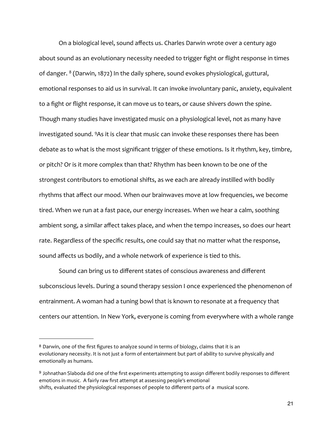On a biological level, sound affects us. Charles Darwin wrote over a century ago about sound as an evolutionary necessity needed to trigger fight or flight response in times of danger. [8](#page-20-0) (Darwin, 1872) In the daily sphere, sound evokes physiological, guttural, emotional responses to aid us in survival. It can invoke involuntary panic, anxiety, equivalent to a fight or flight response, it can move us to tears, or cause shivers down the spine. Though many studies have investigated music on a physiological level, not as many have investigated sound. [9](#page-20-1)As it is clear that music can invoke these responses there has been debate as to what is the most significant trigger of these emotions. Is it rhythm, key, timbre, or pitch? Or is it more complex than that? Rhythm has been known to be one of the strongest contributors to emotional shifts, as we each are already instilled with bodily rhythms that affect our mood. When our brainwaves move at low frequencies, we become tired. When we run at a fast pace, our energy increases. When we hear a calm, soothing ambient song, a similar affect takes place, and when the tempo increases, so does our heart rate. Regardless of the specific results, one could say that no matter what the response, sound affects us bodily, and a whole network of experience is tied to this.

 Sound can bring us to different states of conscious awareness and different subconscious levels. During a sound therapy session I once experienced the phenomenon of entrainment. A woman had a tuning bowl that is known to resonate at a frequency that centers our attention. In New York, everyone is coming from everywhere with a whole range

<span id="page-20-0"></span><sup>8</sup> Darwin, one of the first figures to analyze sound in terms of biology, claims that it is an evolutionary necessity. It is not just a form of entertainment but part of ability to survive physically and emotionally as humans.

<span id="page-20-1"></span><sup>9</sup> Johnathan Slaboda did one of the first experiments attempting to assign different bodily responses to different emotions in music. A fairly raw first attempt at assessing people's emotional shifts, evaluated the physiological responses of people to different parts of a musical score.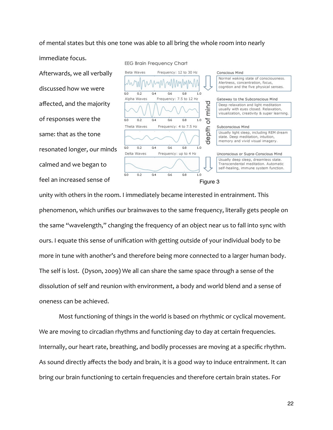of mental states but this one tone was able to all bring the whole room into nearly

immediate focus.

Afterwards, we all verbally discussed how we were affected, and the majority of responses were the same: that as the tone resonated longer, our minds calmed and we began to feel an increased sense of



unity with others in the room. I immediately became interested in entrainment. This phenomenon, which unifies our brainwaves to the same frequency, literally gets people on the same "wavelength," changing the frequency of an object near us to fall into sync with ours. I equate this sense of unification with getting outside of your individual body to be more in tune with another's and therefore being more connected to a larger human body. The self is lost. (Dyson, 2009) We all can share the same space through a sense of the dissolution of self and reunion with environment, a body and world blend and a sense of oneness can be achieved.

 Most functioning of things in the world is based on rhythmic or cyclical movement. We are moving to circadian rhythms and functioning day to day at certain frequencies. Internally, our heart rate, breathing, and bodily processes are moving at a specific rhythm. As sound directly affects the body and brain, it is a good way to induce entrainment. It can bring our brain functioning to certain frequencies and therefore certain brain states. For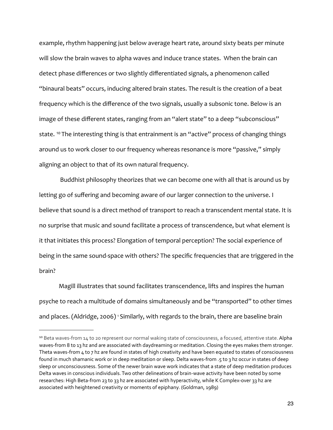example, rhythm happening just below average heart rate, around sixty beats per minute will slow the brain waves to alpha waves and induce trance states. When the brain can detect phase differences or two slightly differentiated signals, a phenomenon called "binaural beats" occurs, inducing altered brain states. The result is the creation of a beat frequency which is the difference of the two signals, usually a subsonic tone. Below is an image of these different states, ranging from an "alert state" to a deep "subconscious" state. <sup>10</sup> The interesting thing is that entrainment is an "active" process of changing things around us to work closer to our frequency whereas resonance is more "passive," simply aligning an object to that of its own natural frequency.

 Buddhist philosophy theorizes that we can become one with all that is around us by letting go of suffering and becoming aware of our larger connection to the universe. I believe that sound is a direct method of transport to reach a transcendent mental state. It is no surprise that music and sound facilitate a process of transcendence, but what element is it that initiates this process? Elongation of temporal perception? The social experience of being in the same sound‐space with others? The specific frequencies that are triggered in the brain?

 Magill illustrates that sound facilitates transcendence, lifts and inspires the human psyche to reach a multitude of domains simultaneously and be "transported" to other times and places. (Aldridge, 2006) <sup>1</sup> Similarly, with regards to the brain, there are baseline brain

<span id="page-22-0"></span><sup>&</sup>lt;sup>10</sup> Beta waves-from 14 to 20 represent our normal waking state of consciousness, a focused, attentive state. Alpha waves-from 8 to 13 hz and are associated with daydreaming or meditation. Closing the eyes makes them stronger. Theta waves-from 4 to 7 hz are found in states of high creativity and have been equated to states of consciousness found in much shamanic work or in deep meditation or sleep. Delta waves‐from .5 to 3 hz occur in states of deep sleep or unconsciousness. Some of the newer brain wave work indicates that a state of deep meditation produces Delta waves in conscious individuals. Two other delineations of brain-wave activity have been noted by some researches: High Beta‐from 23 to 33 hz are associated with hyperactivity, while K Complex‐over 33 hz are associated with heightened creativity or moments of epiphany. (Goldman, 1989)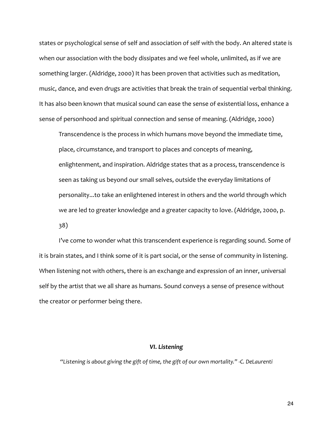states or psychological sense of self and association of self with the body. An altered state is when our association with the body dissipates and we feel whole, unlimited, as if we are something larger. (Aldridge, 2000) It has been proven that activities such as meditation, music, dance, and even drugs are activities that break the train of sequential verbal thinking. It has also been known that musical sound can ease the sense of existential loss, enhance a sense of personhood and spiritual connection and sense of meaning. (Aldridge, 2000)

 Transcendence is the process in which humans move beyond the immediate time, place, circumstance, and transport to places and concepts of meaning, enlightenment, and inspiration. Aldridge states that as a process, transcendence is seen as taking us beyond our small selves, outside the everyday limitations of personality...to take an enlightened interest in others and the world through which we are led to greater knowledge and a greater capacity to love. (Aldridge, 2000, p. 38)

 I've come to wonder what this transcendent experience is regarding sound. Some of it is brain states, and I think some of it is part social, or the sense of community in listening. When listening not with others, there is an exchange and expression of an inner, universal self by the artist that we all share as humans. Sound conveys a sense of presence without the creator or performer being there.

# *VI. Listening*

*"Listening is about giving the gift of time, the gift of our own mortality." ‐C. DeLaurenti*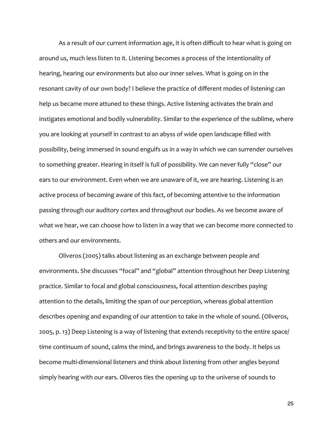As a result of our current information age, it is often difficult to hear what is going on around us, much less listen to it. Listening becomes a process of the intentionality of hearing, hearing our environments but also our inner selves. What is going on in the resonant cavity of our own body? I believe the practice of different modes of listening can help us became more attuned to these things. Active listening activates the brain and instigates emotional and bodily vulnerability. Similar to the experience of the sublime, where you are looking at yourself in contrast to an abyss of wide open landscape filled with possibility, being immersed in sound engulfs us in a way in which we can surrender ourselves to something greater. Hearing in itself is full of possibility. We can never fully "close" our ears to our environment. Even when we are unaware of it, we are hearing. Listening is an active process of becoming aware of this fact, of becoming attentive to the information passing through our auditory cortex and throughout our bodies. As we become aware of what we hear, we can choose how to listen in a way that we can become more connected to others and our environments.

 Oliveros (2005) talks about listening as an exchange between people and environments. She discusses "focal" and "global" attention throughout her Deep Listening practice. Similar to focal and global consciousness, focal attention describes paying attention to the details, limiting the span of our perception, whereas global attention describes opening and expanding of our attention to take in the whole of sound. (Oliveros, 2005, p. 13) Deep Listening is a way of listening that extends receptivity to the entire space/ time continuum of sound, calms the mind, and brings awareness to the body. It helps us become multi‐dimensional listeners and think about listening from other angles beyond simply hearing with our ears. Oliveros ties the opening up to the universe of sounds to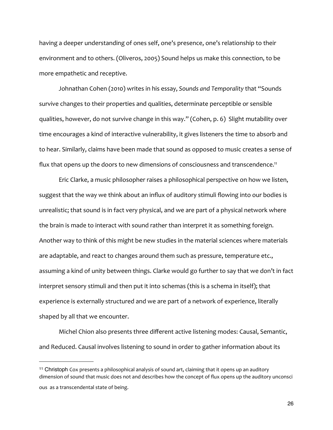having a deeper understanding of ones self, one's presence, one's relationship to their environment and to others. (Oliveros, 2005) Sound helps us make this connection, to be more empathetic and receptive.

 Johnathan Cohen (2010) writes in his essay, *Sounds and Temporality* that "Sounds survive changes to their properties and qualities, determinate perceptible or sensible qualities, however, do not survive change in this way." (Cohen, p. 6) Slight mutability over time encourages a kind of interactive vulnerability, it gives listeners the time to absorb and to hear. Similarly, claims have been made that sound as opposed to music creates a sense of flux that opens up the doors to new dimensions of consciousness and transcendence.<sup>11</sup>

 Eric Clarke, a music philosopher raises a philosophical perspective on how we listen, suggest that the way we think about an influx of auditory stimuli flowing into our bodies is unrealistic; that sound is in fact very physical, and we are part of a physical network where the brain is made to interact with sound rather than interpret it as something foreign. Another way to think of this might be new studies in the material sciences where materials are adaptable, and react to changes around them such as pressure, temperature etc., assuming a kind of unity between things. Clarke would go further to say that we don't in fact interpret sensory stimuli and then put it into schemas (this is a schema in itself); that experience is externally structured and we are part of a network of experience, literally shaped by all that we encounter.

 Michel Chion also presents three different active listening modes: Causal, Semantic, and Reduced. Causal involves listening to sound in order to gather information about its

<span id="page-25-0"></span><sup>11</sup> Christoph Cox presents a philosophical analysis of sound art, claiming that it opens up an auditory dimension of sound that music does not and describes how the concept of flux opens up the auditory unconsci

ous as a transcendental state of being.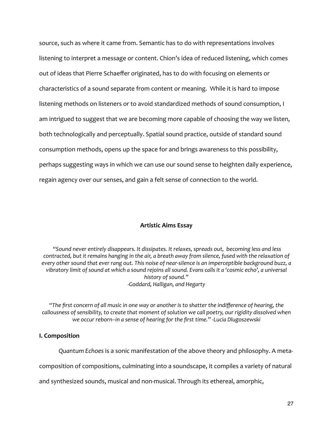source, such as where it came from. Semantic has to do with representations involves listening to interpret a message or content. Chion's idea of reduced listening, which comes out of ideas that Pierre Schaeffer originated, has to do with focusing on elements or characteristics of a sound separate from content or meaning. While it is hard to impose listening methods on listeners or to avoid standardized methods of sound consumption, I am intrigued to suggest that we are becoming more capable of choosing the way we listen, both technologically and perceptually. Spatial sound practice, outside of standard sound consumption methods, opens up the space for and brings awareness to this possibility, perhaps suggesting ways in which we can use our sound sense to heighten daily experience, regain agency over our senses, and gain a felt sense of connection to the world.

# **Artistic Aims Essay**

 *"Sound never entirely disappears. It dissipates. It relaxes, spreads out, becoming less and less contracted, but it remains hanging in the air, a breath away from silence, fused with the relaxation of every other sound that ever rang out. This noise of near‐silence is an imperceptible background buzz, a vibratory limit of sound at which a sound rejoins all sound. Evans calls it a 'cosmic echo', a universal history of sound." ‐Goddard, Halligan, and Hegarty*

*"The first concern of all music in one way or another is to shatter the indifference of hearing, the callousness of sensibility, to create that moment of solution we call poetry, our rigidity dissolved when we occur reborn‐‐in a sense of hearing for the first time." ‐Lucia Dlugoszewski* 

# **I. Composition**

*Quantum Echoes* is a sonic manifestation of the above theory and philosophy. A meta‐

composition of compositions, culminating into a soundscape, it compiles a variety of natural

and synthesized sounds, musical and non-musical. Through its ethereal, amorphic,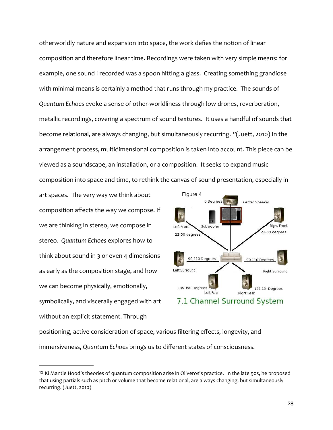otherworldly nature and expansion into space, the work defies the notion of linear composition and therefore linear time. Recordings were taken with very simple means: for example, one sound I recorded was a spoon hitting a glass. Creating something grandiose with minimal means is certainly a method that runs through my practice. The sounds of *Quantum Echoes* evoke a sense of other‐worldliness through low drones, reverberation, metallic recordings, covering a spectrum of sound textures. It uses a handful of sounds that become relational, are always changing, but simultaneously recurring. [12\(](#page-27-0)Juett, 2010) In the arrangement process, multidimensional composition is taken into account. This piece can be viewed as a soundscape, an installation, or a composition. It seeks to expand music composition into space and time, to rethink the canvas of sound presentation, especially in

art spaces. The very way we think about composition affects the way we compose. If we are thinking in stereo, we compose in stereo. *Quantum Echoes* explores how to think about sound in 3 or even 4 dimensions as early as the composition stage, and how we can become physically, emotionally, symbolically, and viscerally engaged with art without an explicit statement. Through



positioning, active consideration of space, various filtering effects, longevity, and immersiveness, *Quantum Echoes* brings us to different states of consciousness.

<span id="page-27-0"></span><sup>&</sup>lt;sup>12</sup> Ki Mantle Hood's theories of quantum composition arise in Oliveros's practice. In the late 90s, he proposed that using partials such as pitch or volume that become relational, are always changing, but simultaneously recurring. (Juett, 2010)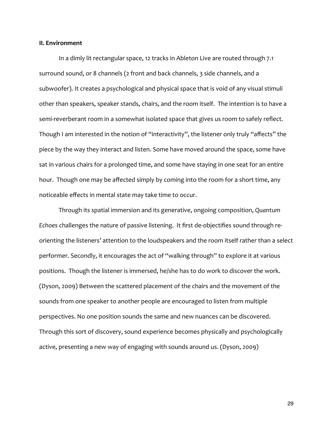### **II. Environment**

 In a dimly lit rectangular space, 12 tracks in Ableton Live are routed through 7.1 surround sound, or 8 channels (2 front and back channels, 3 side channels, and a subwoofer). It creates a psychological and physical space that is void of any visual stimuli other than speakers, speaker stands, chairs, and the room itself. The intention is to have a semi-reverberant room in a somewhat isolated space that gives us room to safely reflect. Though I am interested in the notion of "interactivity", the listener only truly "affects" the piece by the way they interact and listen. Some have moved around the space, some have sat in various chairs for a prolonged time, and some have staying in one seat for an entire hour. Though one may be affected simply by coming into the room for a short time, any noticeable effects in mental state may take time to occur.

Through its spatial immersion and its generative, ongoing composition, *Quantum Echoes* challenges the nature of passive listening. It first de‐objectifies sound through re‐ orienting the listeners' attention to the loudspeakers and the room itself rather than a select performer. Secondly, it encourages the act of "walking through" to explore it at various positions. Though the listener is immersed, he/she has to do work to discover the work. (Dyson, 2009) Between the scattered placement of the chairs and the movement of the sounds from one speaker to another people are encouraged to listen from multiple perspectives. No one position sounds the same and new nuances can be discovered. Through this sort of discovery, sound experience becomes physically and psychologically active, presenting a new way of engaging with sounds around us. (Dyson, 2009)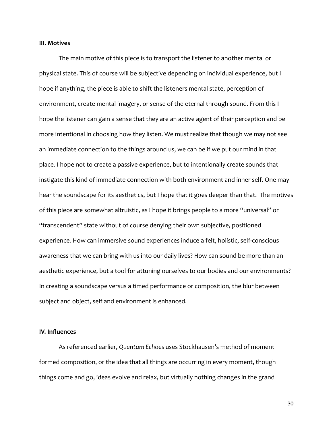### **III. Motives**

 The main motive of this piece is to transport the listener to another mental or physical state. This of course will be subjective depending on individual experience, but I hope if anything, the piece is able to shift the listeners mental state, perception of environment, create mental imagery, or sense of the eternal through sound. From this I hope the listener can gain a sense that they are an active agent of their perception and be more intentional in choosing how they listen. We must realize that though we may not see an immediate connection to the things around us, we can be if we put our mind in that place. I hope not to create a passive experience, but to intentionally create sounds that instigate this kind of immediate connection with both environment and inner self. One may hear the soundscape for its aesthetics, but I hope that it goes deeper than that. The motives of this piece are somewhat altruistic, as I hope it brings people to a more "universal" or "transcendent" state without of course denying their own subjective, positioned experience. How can immersive sound experiences induce a felt, holistic, self‐conscious awareness that we can bring with us into our daily lives? How can sound be more than an aesthetic experience, but a tool for attuning ourselves to our bodies and our environments? In creating a soundscape versus a timed performance or composition, the blur between subject and object, self and environment is enhanced.

# **IV. Influences**

 As referenced earlier, *Quantum Echoes* uses Stockhausen's method of moment formed composition, or the idea that all things are occurring in every moment, though things come and go, ideas evolve and relax, but virtually nothing changes in the grand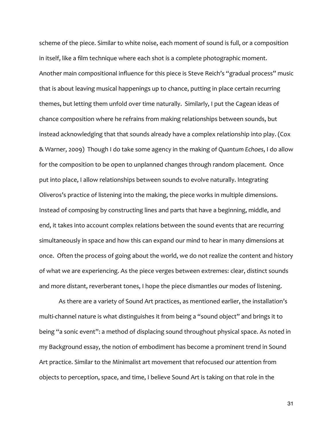scheme of the piece. Similar to white noise, each moment of sound is full, or a composition in itself, like a film technique where each shot is a complete photographic moment. Another main compositional influence for this piece is Steve Reich's "gradual process" music that is about leaving musical happenings up to chance, putting in place certain recurring themes, but letting them unfold over time naturally. Similarly, I put the Cagean ideas of chance composition where he refrains from making relationships between sounds, but instead acknowledging that that sounds already have a complex relationship into play. (Cox & Warner, 2009) Though I do take some agency in the making of *Quantum Echoes*, I do allow for the composition to be open to unplanned changes through random placement. Once put into place, I allow relationships between sounds to evolve naturally. Integrating Oliveros's practice of listening into the making, the piece works in multiple dimensions. Instead of composing by constructing lines and parts that have a beginning, middle, and end, it takes into account complex relations between the sound events that are recurring simultaneously in space and how this can expand our mind to hear in many dimensions at once. Often the process of going about the world, we do not realize the content and history of what we are experiencing. As the piece verges between extremes: clear, distinct sounds and more distant, reverberant tones, I hope the piece dismantles our modes of listening.

 As there are a variety of Sound Art practices, as mentioned earlier, the installation's multi-channel nature is what distinguishes it from being a "sound object" and brings it to being "a sonic event": a method of displacing sound throughout physical space. As noted in my Background essay, the notion of embodiment has become a prominent trend in Sound Art practice. Similar to the Minimalist art movement that refocused our attention from objects to perception, space, and time, I believe Sound Art is taking on that role in the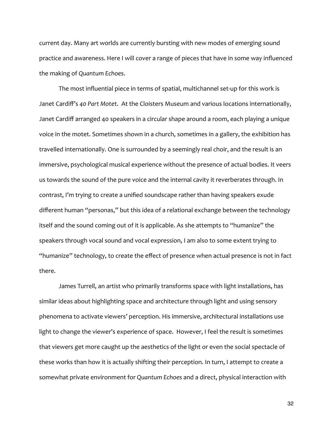current day. Many art worlds are currently bursting with new modes of emerging sound practice and awareness. Here I will cover a range of pieces that have in some way influenced the making of *Quantum Echoes*.

 The most influential piece in terms of spatial, multichannel set‐up for this work is Janet Cardiff's *40 Part Motet*. At the Cloisters Museum and various locations internationally, Janet Cardiff arranged 40 speakers in a circular shape around a room, each playing a unique voice in the motet. Sometimes shown in a church, sometimes in a gallery, the exhibition has travelled internationally. One is surrounded by a seemingly real choir, and the result is an immersive, psychological musical experience without the presence of actual bodies. It veers us towards the sound of the pure voice and the internal cavity it reverberates through. In contrast, I'm trying to create a unified soundscape rather than having speakers exude different human "personas," but this idea of a relational exchange between the technology itself and the sound coming out of it is applicable. As she attempts to "humanize" the speakers through vocal sound and vocal expression, I am also to some extent trying to "humanize" technology, to create the effect of presence when actual presence is not in fact there.

 James Turrell, an artist who primarily transforms space with light installations, has similar ideas about highlighting space and architecture through light and using sensory phenomena to activate viewers' perception. His immersive, architectural installations use light to change the viewer's experience of space. However, I feel the result is sometimes that viewers get more caught up the aesthetics of the light or even the social spectacle of these works than how it is actually shifting their perception. In turn, I attempt to create a somewhat private environment for *Quantum Echoes* and a direct, physical interaction with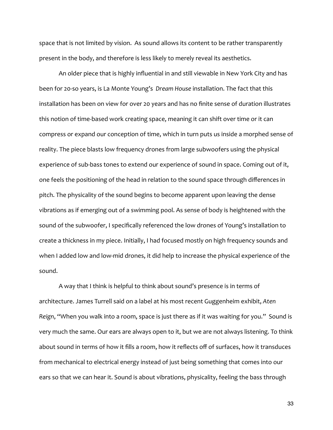space that is not limited by vision. As sound allows its content to be rather transparently present in the body, and therefore is less likely to merely reveal its aesthetics.

 An older piece that is highly influential in and still viewable in New York City and has been for 20‐so years, is La Monte Young's *Dream House* installation. The fact that this installation has been on view for over 20 years and has no finite sense of duration illustrates this notion of time‐based work creating space, meaning it can shift over time or it can compress or expand our conception of time, which in turn puts us inside a morphed sense of reality. The piece blasts low frequency drones from large subwoofers using the physical experience of sub-bass tones to extend our experience of sound in space. Coming out of it, one feels the positioning of the head in relation to the sound space through differences in pitch. The physicality of the sound begins to become apparent upon leaving the dense vibrations as if emerging out of a swimming pool. As sense of body is heightened with the sound of the subwoofer, I specifically referenced the low drones of Young's installation to create a thickness in my piece. Initially, I had focused mostly on high frequency sounds and when I added low and low-mid drones, it did help to increase the physical experience of the sound.

 A way that I think is helpful to think about sound's presence is in terms of architecture. James Turrell said on a label at his most recent Guggenheim exhibit, *Aten Reign*, "When you walk into a room, space is just there as if it was waiting for you." Sound is very much the same. Our ears are always open to it, but we are not always listening. To think about sound in terms of how it fills a room, how it reflects off of surfaces, how it transduces from mechanical to electrical energy instead of just being something that comes into our ears so that we can hear it. Sound is about vibrations, physicality, feeling the bass through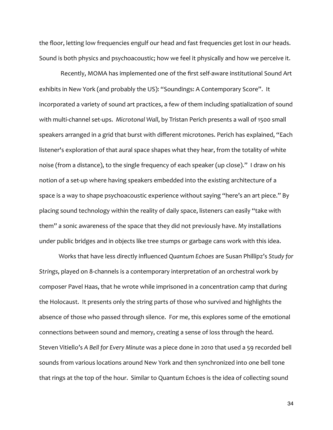the floor, letting low frequencies engulf our head and fast frequencies get lost in our heads. Sound is both physics and psychoacoustic; how we feel it physically and how we perceive it.

Recently, MOMA has implemented one of the first self‐aware institutional Sound Art exhibits in New York (and probably the US): "Soundings: A Contemporary Score". It incorporated a variety of sound art practices, a few of them including spatialization of sound with multi-channel set-ups. Microtonal Wall, by Tristan Perich presents a wall of 1500 small speakers arranged in a grid that burst with different microtones. Perich has explained, "Each listener's exploration of that aural space shapes what they hear, from the totality of white noise (from a distance), to the single frequency of each speaker (up close)." I draw on his notion of a set-up where having speakers embedded into the existing architecture of a space is a way to shape psychoacoustic experience without saying "here's an art piece." By placing sound technology within the reality of daily space, listeners can easily "take with them" a sonic awareness of the space that they did not previously have. My installations under public bridges and in objects like tree stumps or garbage cans work with this idea.

 Works that have less directly influenced *Quantum Echoes* are Susan Phillipz's *Study for Strings*, played on 8‐channels is a contemporary interpretation of an orchestral work by composer Pavel Haas, that he wrote while imprisoned in a concentration camp that during the Holocaust. It presents only the string parts of those who survived and highlights the absence of those who passed through silence. For me, this explores some of the emotional connections between sound and memory, creating a sense of loss through the heard. Steven Vitiello's *A Bell for Every Minute* was a piece done in 2010 that used a 59 recorded bell sounds from various locations around New York and then synchronized into one bell tone that rings at the top of the hour. Similar to Quantum Echoes is the idea of collecting sound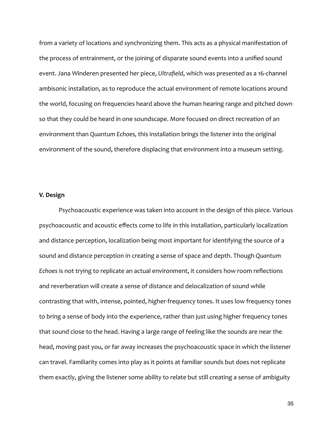from a variety of locations and synchronizing them. This acts as a physical manifestation of the process of entrainment, or the joining of disparate sound events into a unified sound event. Jana Winderen presented her piece, *Ultrafield*, which was presented as a 16‐channel ambisonic installation, as to reproduce the actual environment of remote locations around the world, focusing on frequencies heard above the human hearing range and pitched down so that they could be heard in one soundscape. More focused on direct recreation of an environment than *Quantum Echoes,* this installation brings the listener into the original environment of the sound, therefore displacing that environment into a museum setting.

# **V. Design**

 Psychoacoustic experience was taken into account in the design of this piece. Various psychoacoustic and acoustic effects come to life in this installation, particularly localization and distance perception, localization being most important for identifying the source of a sound and distance perception in creating a sense of space and depth. Though *Quantum Echoes* is not trying to replicate an actual environment, it considers how room reflections and reverberation will create a sense of distance and delocalization of sound while contrasting that with, intense, pointed, higher-frequency tones. It uses low frequency tones to bring a sense of body into the experience, rather than just using higher frequency tones that sound close to the head. Having a large range of feeling like the sounds are near the head, moving past you, or far away increases the psychoacoustic space in which the listener can travel. Familiarity comes into play as it points at familiar sounds but does not replicate them exactly, giving the listener some ability to relate but still creating a sense of ambiguity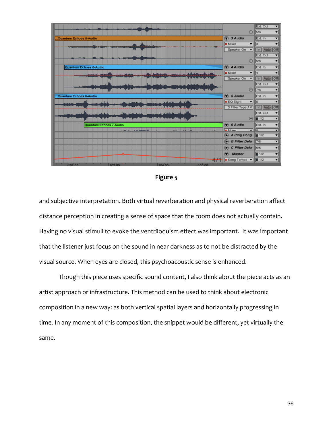|                        |          |                                         |                |                                                                         | $\odot$                                                        | Ext. Out<br>$\blacktriangledown$<br>5/6<br>▼         |
|------------------------|----------|-----------------------------------------|----------------|-------------------------------------------------------------------------|----------------------------------------------------------------|------------------------------------------------------|
| Quantum Echoes 5-Audio |          |                                         |                |                                                                         | $\bigcirc$ 3 Audio                                             | Ext. In<br>$\blacktriangledown$                      |
|                        |          |                                         |                |                                                                         | $\blacksquare$ Mixer<br>$\vert$                                | $\overline{\textbf{v}}$<br>3                         |
|                        |          |                                         |                |                                                                         | $\vert$<br>Speaker On                                          | In Auto Off                                          |
|                        |          |                                         |                |                                                                         |                                                                | Ext. Out<br>▼                                        |
|                        |          |                                         |                |                                                                         | $\bigoplus$                                                    | 5/6<br>$\blacktriangledown$                          |
| Quantum Echoes 6-Audio |          |                                         |                |                                                                         | $\circledcirc$ 4 Audio                                         | Ext. In<br>$\blacktriangledown$                      |
|                        |          | al de                                   |                |                                                                         | Mixer<br>▼                                                     | ▼<br>4                                               |
|                        |          |                                         |                |                                                                         | Speaker On<br>▼                                                | $\boxed{\text{Off}}$<br>In Auto                      |
|                        |          |                                         |                |                                                                         |                                                                | Ext. Out<br>▼                                        |
|                        |          |                                         |                |                                                                         | $\odot$                                                        | 7/8<br>▼                                             |
| Quantum Echoes 6-Audio |          |                                         |                |                                                                         | $\circledcirc$ 5 Audio                                         | $\overline{\phantom{0}}$<br>Ext. In                  |
|                        | الرياسية |                                         |                |                                                                         | $EQ$ Eight<br>$\vert$                                          | $\overline{\phantom{0}}$<br>$\sqrt{5}$               |
|                        |          |                                         |                |                                                                         | 3 Filter Type A▼                                               | In Auto Off                                          |
|                        |          |                                         |                |                                                                         |                                                                | Ext. Out<br>▼                                        |
|                        |          |                                         |                |                                                                         | $\odot$                                                        | $\overline{\mathbf{ii}}$ 1/2<br>▼                    |
| Quantum Echoes 7-Audio |          |                                         |                | $\circledcirc$ 6 Audio<br>$\overline{\mathbf{v}}$ lla<br><b>B</b> Mixer | $\overline{\phantom{a}}$<br>Ext. In<br>$\overline{\mathbf{v}}$ |                                                      |
|                        |          | and a set of the distribution.<br>لطرير |                |                                                                         | $\blacksquare$<br>A Ping Pong                                  | $\overline{\mathbf{ii}}$ 1/2<br>$\blacktriangledown$ |
|                        |          |                                         |                |                                                                         | <b>B Filter Dela</b><br>O                                      | 7/8<br>▼                                             |
|                        |          |                                         |                |                                                                         | C Filter Dela<br>O                                             | $\overline{\phantom{0}}$<br>5/6                      |
|                        |          |                                         |                |                                                                         | $\odot$<br><b>Master</b>                                       | $ii$ 1/2<br>▼                                        |
|                        |          |                                         |                |                                                                         | Song Tempo<br>◥                                                | $\overline{\mathbf{v}}$<br>ii 1/2                    |
| 10000                  | 1402.00  |                                         | I <sub>3</sub> | 100000                                                                  |                                                                |                                                      |



and subjective interpretation. Both virtual reverberation and physical reverberation affect distance perception in creating a sense of space that the room does not actually contain. Having no visual stimuli to evoke the ventriloquism effect was important. It was important that the listener just focus on the sound in near darkness as to not be distracted by the visual source. When eyes are closed, this psychoacoustic sense is enhanced.

 Though this piece uses specific sound content, I also think about the piece acts as an artist approach or infrastructure. This method can be used to think about electronic composition in a new way: as both vertical spatial layers and horizontally progressing in time. In any moment of this composition, the snippet would be different, yet virtually the same.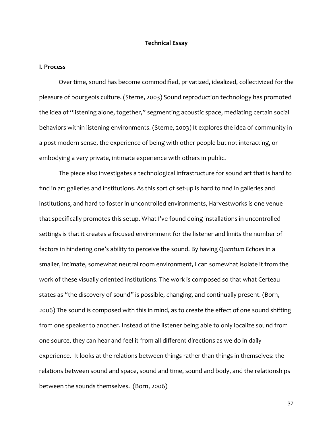#### **Technical Essay**

#### **I. Process**

 Over time, sound has become commodified, privatized, idealized, collectivized for the pleasure of bourgeois culture. (Sterne, 2003) Sound reproduction technology has promoted the idea of "listening alone, together," segmenting acoustic space, mediating certain social behaviors within listening environments. (Sterne, 2003) It explores the idea of community in a post modern sense, the experience of being with other people but not interacting, or embodying a very private, intimate experience with others in public.

 The piece also investigates a technological infrastructure for sound art that is hard to find in art galleries and institutions. As this sort of set-up is hard to find in galleries and institutions, and hard to foster in uncontrolled environments, Harvestworks is one venue that specifically promotes this setup. What I've found doing installations in uncontrolled settings is that it creates a focused environment for the listener and limits the number of factors in hindering one's ability to perceive the sound. By having *Quantum Echoes* in a smaller, intimate, somewhat neutral room environment, I can somewhat isolate it from the work of these visually oriented institutions. The work is composed so that what Certeau states as "the discovery of sound" is possible, changing, and continually present. (Born, 2006) The sound is composed with this in mind, as to create the effect of one sound shifting from one speaker to another. Instead of the listener being able to only localize sound from one source, they can hear and feel it from all different directions as we do in daily experience. It looks at the relations between things rather than things in themselves: the relations between sound and space, sound and time, sound and body, and the relationships between the sounds themselves. (Born, 2006)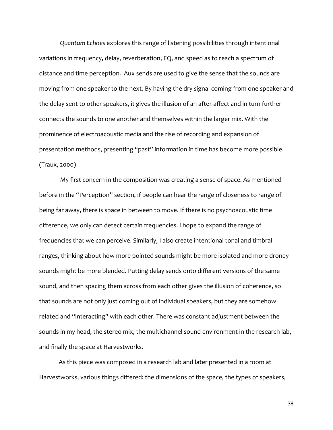*Quantum Echoes* explores this range of listening possibilities through intentional variations in frequency, delay, reverberation, EQ, and speed as to reach a spectrum of distance and time perception. Aux sends are used to give the sense that the sounds are moving from one speaker to the next. By having the dry signal coming from one speaker and the delay sent to other speakers, it gives the illusion of an after‐affect and in turn further connects the sounds to one another and themselves within the larger mix. With the prominence of electroacoustic media and the rise of recording and expansion of presentation methods, presenting "past" information in time has become more possible. (Traux, 2000)

 My first concern in the composition was creating a sense of space. As mentioned before in the "Perception" section, if people can hear the range of closeness to range of being far away, there is space in between to move. If there is no psychoacoustic time difference, we only can detect certain frequencies. I hope to expand the range of frequencies that we can perceive. Similarly, I also create intentional tonal and timbral ranges, thinking about how more pointed sounds might be more isolated and more droney sounds might be more blended. Putting delay sends onto different versions of the same sound, and then spacing them across from each other gives the illusion of coherence, so that sounds are not only just coming out of individual speakers, but they are somehow related and "interacting" with each other. There was constant adjustment between the sounds in my head, the stereo mix, the multichannel sound environment in the research lab, and finally the space at Harvestworks.

 As this piece was composed in a research lab and later presented in a room at Harvestworks, various things differed: the dimensions of the space, the types of speakers,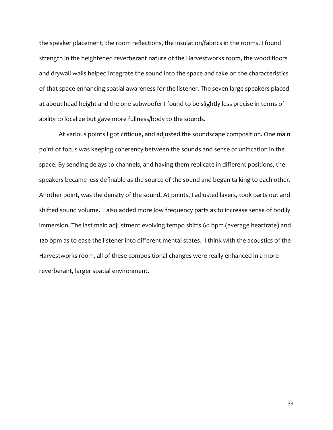the speaker placement, the room reflections, the insulation/fabrics in the rooms. I found strength in the heightened reverberant nature of the Harvestworks room, the wood floors and drywall walls helped integrate the sound into the space and take on the characteristics of that space enhancing spatial awareness for the listener. The seven large speakers placed at about head height and the one subwoofer I found to be slightly less precise in terms of ability to localize but gave more fullness/body to the sounds.

 At various points I got critique, and adjusted the soundscape composition. One main point of focus was keeping coherency between the sounds and sense of unification in the space. By sending delays to channels, and having them replicate in different positions, the speakers became less definable as the source of the sound and began talking to each other. Another point, was the density of the sound. At points, I adjusted layers, took parts out and shifted sound volume. I also added more low frequency parts as to increase sense of bodily immersion. The last main adjustment evolving tempo shifts 60 bpm (average heartrate) and 120 bpm as to ease the listener into different mental states. I think with the acoustics of the Harvestworks room, all of these compositional changes were really enhanced in a more reverberant, larger spatial environment.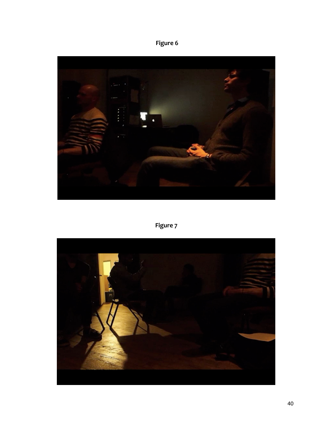**Figure 6**



**Figure 7**

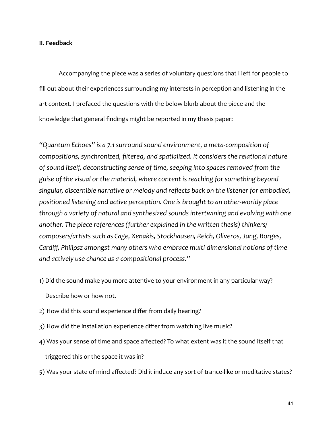# **II. Feedback**

 Accompanying the piece was a series of voluntary questions that I left for people to fill out about their experiences surrounding my interests in perception and listening in the art context. I prefaced the questions with the below blurb about the piece and the knowledge that general findings might be reported in my thesis paper:

*"Quantum Echoes" is a 7.1 surround sound environment, a meta‐composition of compositions, synchronized, filtered, and spatialized. It considers the relational nature of sound itself, deconstructing sense of time, seeping into spaces removed from the guise of the visual or the material, where content is reaching for something beyond singular, discernible narrative or melody and reflects back on the listener for embodied, positioned listening and active perception. One is brought to an other‐worldy place through a variety of natural and synthesized sounds intertwining and evolving with one another. The piece references (further explained in the written thesis) thinkers/ composers/artists such as Cage, Xenakis, Stockhausen, Reich, Oliveros, Jung, Borges, Cardiff, Philipsz amongst many others who embrace multi‐dimensional notions of time and actively use chance as a compositional process."*

- 1) Did the sound make you more attentive to your environment in any particular way?
	- Describe how or how not.
- 2) How did this sound experience differ from daily hearing?
- 3) How did the installation experience differ from watching live music?
- 4) Was your sense of time and space affected? To what extent was it the sound itself that triggered this or the space it was in?
- 5) Was your state of mind affected? Did it induce any sort of trance-like or meditative states?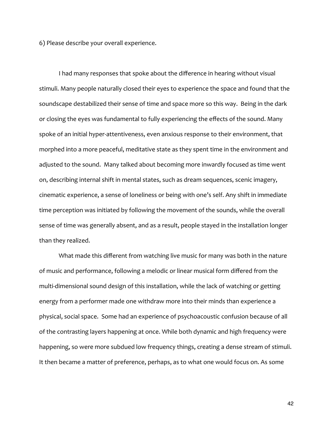6) Please describe your overall experience.

 I had many responses that spoke about the difference in hearing without visual stimuli. Many people naturally closed their eyes to experience the space and found that the soundscape destabilized their sense of time and space more so this way. Being in the dark or closing the eyes was fundamental to fully experiencing the effects of the sound. Many spoke of an initial hyper-attentiveness, even anxious response to their environment, that morphed into a more peaceful, meditative state as they spent time in the environment and adjusted to the sound. Many talked about becoming more inwardly focused as time went on, describing internal shift in mental states, such as dream sequences, scenic imagery, cinematic experience, a sense of loneliness or being with one's self. Any shift in immediate time perception was initiated by following the movement of the sounds, while the overall sense of time was generally absent, and as a result, people stayed in the installation longer than they realized.

 What made this different from watching live music for many was both in the nature of music and performance, following a melodic or linear musical form differed from the multi-dimensional sound design of this installation, while the lack of watching or getting energy from a performer made one withdraw more into their minds than experience a physical, social space. Some had an experience of psychoacoustic confusion because of all of the contrasting layers happening at once. While both dynamic and high frequency were happening, so were more subdued low frequency things, creating a dense stream of stimuli. It then became a matter of preference, perhaps, as to what one would focus on. As some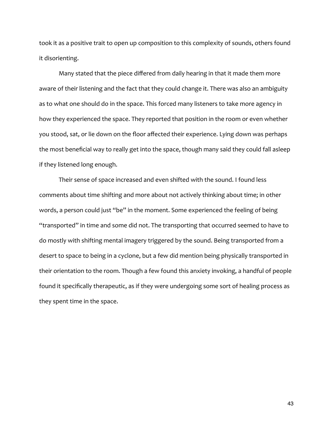took it as a positive trait to open up composition to this complexity of sounds, others found it disorienting.

 Many stated that the piece differed from daily hearing in that it made them more aware of their listening and the fact that they could change it. There was also an ambiguity as to what one should do in the space. This forced many listeners to take more agency in how they experienced the space. They reported that position in the room or even whether you stood, sat, or lie down on the floor affected their experience. Lying down was perhaps the most beneficial way to really get into the space, though many said they could fall asleep if they listened long enough.

 Their sense of space increased and even shifted with the sound. I found less comments about time shifting and more about not actively thinking about time; in other words, a person could just "be" in the moment. Some experienced the feeling of being "transported" in time and some did not. The transporting that occurred seemed to have to do mostly with shifting mental imagery triggered by the sound. Being transported from a desert to space to being in a cyclone, but a few did mention being physically transported in their orientation to the room. Though a few found this anxiety invoking, a handful of people found it specifically therapeutic, as if they were undergoing some sort of healing process as they spent time in the space.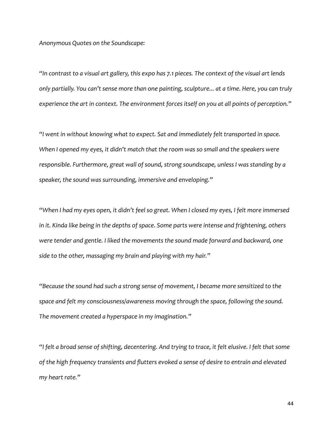*Anonymous Quotes on the Soundscape:*

*"In contrast to a visual art gallery, this expo has 7.1 pieces. The context of the visual art lends only partially. You can't sense more than one painting, sculpture... at a time. Here, you can truly experience the art in context. The environment forces itself on you at all points of perception."* 

*"I went in without knowing what to expect. Sat and immediately felt transported in space. When I opened my eyes, it didn't match that the room was so small and the speakers were responsible. Furthermore, great wall of sound, strong soundscape, unless I was standing by a speaker, the sound was surrounding, immersive and enveloping."*

*"When I had my eyes open, it didn't feel so great. When I closed my eyes, I felt more immersed in it. Kinda like being in the depths of space. Some parts were intense and frightening, others were tender and gentle. I liked the movements the sound made forward and backward, one side to the other, massaging my brain and playing with my hair."* 

*"Because the sound had such a strong sense of movement, I became more sensitized to the space and felt my consciousness/awareness moving through the space, following the sound. The movement created a hyperspace in my imagination."*

*"I felt a broad sense of shifting, decentering. And trying to trace, it felt elusive. I felt that some of the high frequency transients and flutters evoked a sense of desire to entrain and elevated my heart rate."*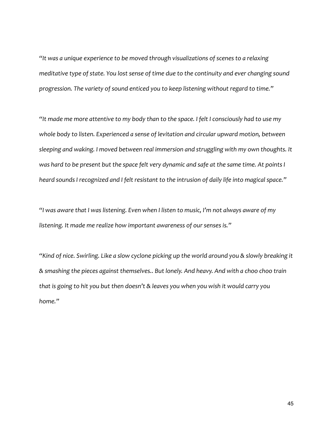*"It was a unique experience to be moved through visualizations of scenes to a relaxing meditative type of state. You lost sense of time due to the continuity and ever changing sound progression. The variety of sound enticed you to keep listening without regard to time."*

*"It made me more attentive to my body than to the space. I felt I consciously had to use my whole body to listen. Experienced a sense of levitation and circular upward motion, between sleeping and waking. I moved between real immersion and struggling with my own thoughts. It was hard to be present but the space felt very dynamic and safe at the same time. At points I heard sounds I recognized and I felt resistant to the intrusion of daily life into magical space."*

*"I was aware that I was listening. Even when I listen to music, I'm not always aware of my listening. It made me realize how important awareness of our senses is."*

*"Kind of nice. Swirling. Like a slow cyclone picking up the world around you & slowly breaking it & smashing the pieces against themselves.. But lonely. And heavy. And with a choo choo train that is going to hit you but then doesn't & leaves you when you wish it would carry you home."*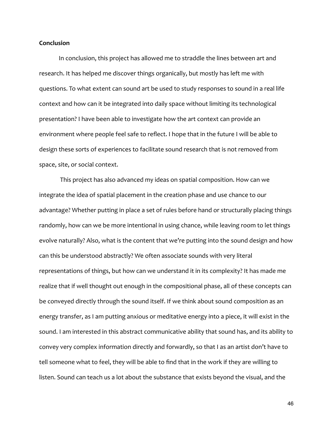# **Conclusion**

 In conclusion, this project has allowed me to straddle the lines between art and research. It has helped me discover things organically, but mostly has left me with questions. To what extent can sound art be used to study responses to sound in a real life context and how can it be integrated into daily space without limiting its technological presentation? I have been able to investigate how the art context can provide an environment where people feel safe to reflect. I hope that in the future I will be able to design these sorts of experiences to facilitate sound research that is not removed from space, site, or social context.

 This project has also advanced my ideas on spatial composition. How can we integrate the idea of spatial placement in the creation phase and use chance to our advantage? Whether putting in place a set of rules before hand or structurally placing things randomly, how can we be more intentional in using chance, while leaving room to let things evolve naturally? Also, what is the content that we're putting into the sound design and how can this be understood abstractly? We often associate sounds with very literal representations of things, but how can we understand it in its complexity? It has made me realize that if well thought out enough in the compositional phase, all of these concepts can be conveyed directly through the sound itself. If we think about sound composition as an energy transfer, as I am putting anxious or meditative energy into a piece, it will exist in the sound. I am interested in this abstract communicative ability that sound has, and its ability to convey very complex information directly and forwardly, so that I as an artist don't have to tell someone what to feel, they will be able to find that in the work if they are willing to listen. Sound can teach us a lot about the substance that exists beyond the visual, and the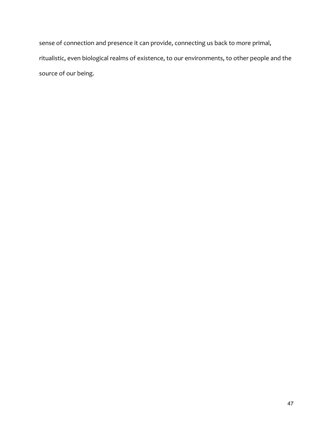sense of connection and presence it can provide, connecting us back to more primal, ritualistic, even biological realms of existence, to our environments, to other people and the source of our being.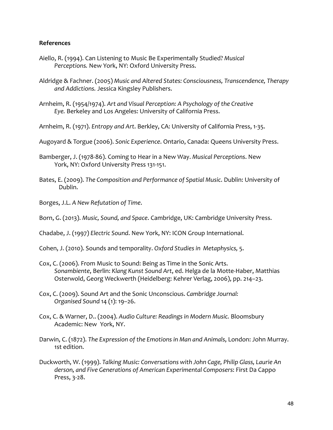# **References**

- Aiello, R. (1994). Can Listening to Music Be Experimentally Studied? *Musical Perceptions.* New York, NY: Oxford University Press.
- Aldridge & Fachner. (2005) *Music and Altered States: Consciousness, Transcendence, Therapy and Addictions.* Jessica Kingsley Publishers.
- Arnheim, R. (1954/1974). *Art and Visual Perception: A Psychology of the Creative Eye.* Berkeley and Los Angeles: University of California Press.
- Arnheim, R. (1971). *Entropy and Art*. Berkley, CA: University of California Press, 1‐35.
- Augoyard & Torgue (2006). *Sonic Experience*. Ontario, Canada: Queens University Press.
- Bamberger, J. (1978‐86). Coming to Hear in a New Way. *Musical Perceptions*. New York, NY: Oxford University Press 131‐151.
- Bates, E. (2009). *The Composition and Performance of Spatial Music*. Dublin: University of Dublin.
- Borges, J.L. *A New Refutation of Time*.
- Born, G. (2013). *Music, Sound, and Space*. Cambridge, UK: Cambridge University Press.
- Chadabe, J. (1997) *Electric Sound*. New York, NY: ICON Group International.
- Cohen, J. (2010). Sounds and temporality. *Oxford Studies in Metaphysics,* 5.
- Cox, C. (2006). From Music to Sound: Being as Time in the Sonic Arts. *Sonambiente*, Berlin: *Klang Kunst Sound Art*, ed. Helga de la Motte‐Haber, Matthias Osterwold, Georg Weckwerth (Heidelberg: Kehrer Verlag, 2006), pp. 214–23.
- Cox, C. (2009). Sound Art and the Sonic Unconscious. *Cambridge Journal: Organised Sound* 14 (1): 19–26.
- Cox, C. & Warner, D.. (2004). *Audio Culture: Readings in Modern Music.* Bloomsbury Academic: New York, NY.
- Darwin, C. (1872). *The Expression of the Emotions in Man and Animals*, London: John Murray. 1st edition.
- Duckworth, W. (1999). *Talking Music: Conversations with John Cage, Philip Glass, Laurie An derson, and Five Generations of American Experimental Composers*: First Da Cappo Press, 3‐28.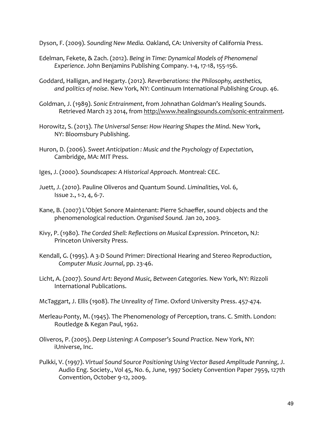Dyson, F. (2009). *Sounding New Media.* Oakland, CA: University of California Press.

- Edelman, Fekete, & Zach. (2012). *Being in Time: Dynamical Models of Phenomenal Experience*. John Benjamins Publishing Company. 1‐4, 17‐18, 155‐156.
- Goddard, Halligan, and Hegarty. (2012). *Reverberations: the Philosophy, aesthetics, and politics of noise*. New York, NY: Continuum International Publishing Group. 46.
- Goldman, J. (1989). *Sonic Entrainment*, from Johnathan Goldman's Healing Sounds. Retrieved March 23 2014, from [http://www.healingsounds.com/sonic‐entrainment](http://www.healingsounds.com/sonic-entrainment).
- Horowitz, S. (2013). *The Universal Sense: How Hearing Shapes the Mind*. New York, NY: Bloomsbury Publishing.
- Huron, D. (2006). *Sweet Anticipation : Music and the Psychology of Expectation*, Cambridge, MA: MIT Press.
- Iges, J. (2000). *Soundscapes: A Historical Approach*. Montreal: CEC.
- Juett, J. (2010). Pauline Oliveros and Quantum Sound. *Liminalities*, Vol. 6, Issue 2., 1‐2, 4, 6‐7.
- Kane, B. (2007) L'Objet Sonore Maintenant: Pierre Schaeffer, sound objects and the phenomenological reduction. *Organised Sound.* Jan 20, 2003.
- Kivy, P. (1980). *The Corded Shell: Reflections on Musical Expression*. Princeton, NJ: Princeton University Press.
- Kendall, G. (1995). A 3‐D Sound Primer: Directional Hearing and Stereo Reproduction, *Computer Music Journal*, pp. 23‐46.
- Licht, A. (2007). *Sound Art: Beyond Music, Between Categories.* New York, NY: Rizzoli International Publications.
- McTaggart, J. Ellis (1908). *The Unreality of Time*. Oxford University Press. 457‐474.
- Merleau-Ponty, M. (1945). The Phenomenology of Perception, trans. C. Smith. London: Routledge & Kegan Paul, 1962.
- Oliveros, P. (2005). *Deep Listening: A Composer's Sound Practice.* New York, NY: iUniverse, Inc.
- Pulkki, V. (1997). *Virtual Sound Source Positioning Using Vector Based Amplitude Panning*, J. Audio Eng. Society., Vol 45, No. 6, June, 1997 Society Convention Paper 7959, 127th Convention, October 9‐12, 2009.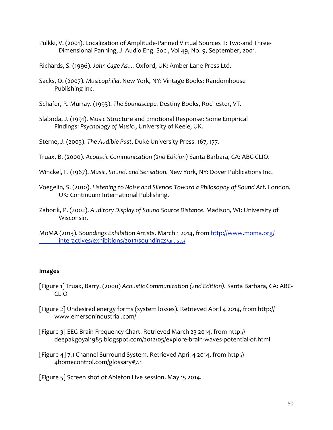- Pulkki, V. (2001). Localization of Amplitude‐Panned Virtual Sources II: Two‐and Three‐ Dimensional Panning, J. Audio Eng. Soc., Vol 49, No. 9, September, 2001.
- Richards, S. (1996). *John Cage As....* Oxford, UK: Amber Lane Press Ltd.
- Sacks, O. (2007). *Musicophilia*. New York, NY: Vintage Books: Randomhouse Publishing Inc.
- Schafer, R. Murray. (1993). *The Soundscape.* Destiny Books, Rochester, VT.
- Slaboda, J. (1991). Music Structure and Emotional Response: Some Empirical Findings: *Psychology of Music.*, University of Keele, UK.

Sterne, J. (2003). *The Audible Past*, Duke University Press. 167, 177.

- Truax, B. (2000). *Acoustic Communication (2nd Edition)* Santa Barbara, CA: ABC‐CLIO.
- Winckel, F. (1967). *Music, Sound, and Sensation*. New York, NY: Dover Publications Inc.
- Voegelin, S. (2010). *Listening to Noise and Silence: Toward a Philosophy of Sound Art*. London, UK: Continuum International Publishing.
- Zahorik, P. (2002). *Auditory Display of Sound Source Distance.* Madison, WI: University of Wisconsin.
- MoMA (2013). *Soundings Exhibition Arti*sts. March 1 2014, from [http://www.moma.org/](http://www.moma.org/interactives/exhibitions/2013/soundings/artists/)  [interactives/exhibitions/2013/soundings/artists/](http://www.moma.org/interactives/exhibitions/2013/soundings/artists/)

# **Images**

- [Figure 1] Truax, Barry. (2000) *Acoustic Communication (2nd Edition).* Santa Barbara, CA: ABC‐ CLIO
- [Figure 2] Undesired energy forms (system losses). Retrieved April 4 2014, from [http://](http://www.emersonindustrial.com/)  [www.emersonindustrial.com/](http://www.emersonindustrial.com/)
- [Figure 3] EEG Brain Frequency Chart. Retrieved March 23 2014, from [http://](http://deepakgoyal1985.blogspot.com/2012/05/explore-brain-waves-potential-of.html)  [deepakgoyal1985.blogspot.com/2012/05/explore‐brain‐waves‐potential‐of.html](http://deepakgoyal1985.blogspot.com/2012/05/explore-brain-waves-potential-of.html)
- [Figure 4] 7.1 Channel Surround System. Retrieved April 4 2014, from [http://](http://4homecontrol.com/glossary#7.1)  [4homecontrol.com/glossary#7.1](http://4homecontrol.com/glossary#7.1)

[Figure 5] Screen shot of Ableton Live session. May 15 2014.